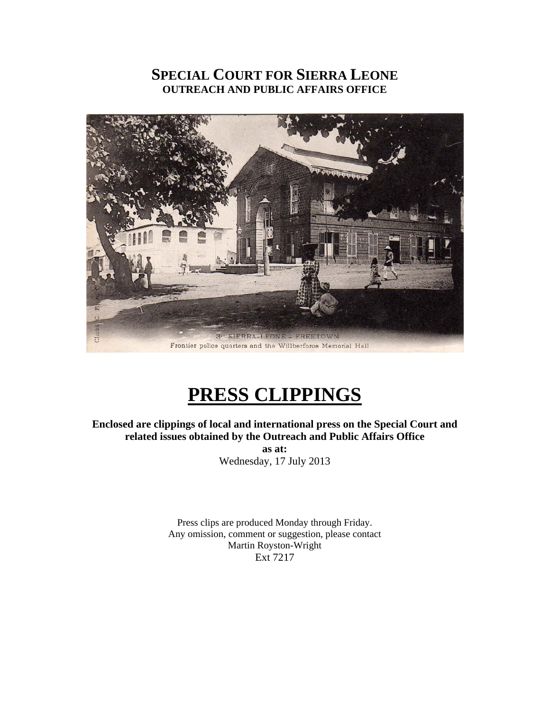# **SPECIAL COURT FOR SIERRA LEONE OUTREACH AND PUBLIC AFFAIRS OFFICE**



# **PRESS CLIPPINGS**

**Enclosed are clippings of local and international press on the Special Court and related issues obtained by the Outreach and Public Affairs Office as at:**  Wednesday, 17 July 2013

> Press clips are produced Monday through Friday. Any omission, comment or suggestion, please contact Martin Royston-Wright Ext 7217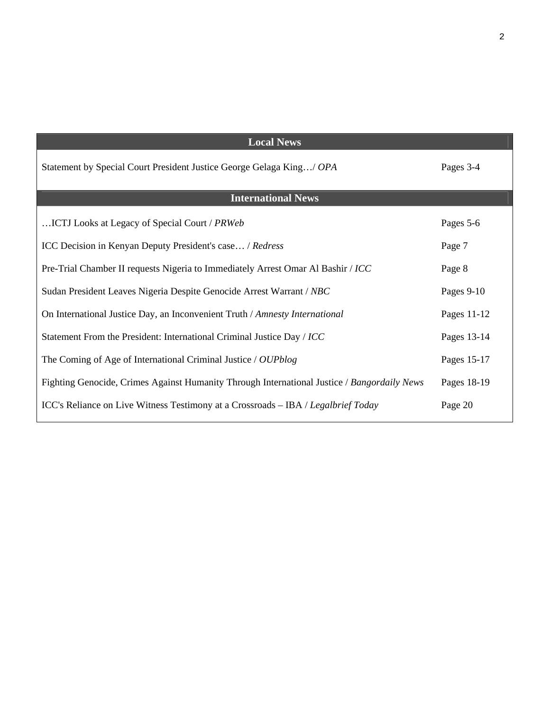| <b>Local News</b>                                                                           |             |
|---------------------------------------------------------------------------------------------|-------------|
| Statement by Special Court President Justice George Gelaga King/ OPA                        | Pages 3-4   |
| <b>International News</b>                                                                   |             |
| ICTJ Looks at Legacy of Special Court / PRWeb                                               | Pages 5-6   |
| ICC Decision in Kenyan Deputy President's case / Redress                                    | Page 7      |
| Pre-Trial Chamber II requests Nigeria to Immediately Arrest Omar Al Bashir / ICC            | Page 8      |
| Sudan President Leaves Nigeria Despite Genocide Arrest Warrant / NBC                        | Pages 9-10  |
| On International Justice Day, an Inconvenient Truth / Amnesty International                 | Pages 11-12 |
| Statement From the President: International Criminal Justice Day / ICC                      | Pages 13-14 |
| The Coming of Age of International Criminal Justice / OUPblog                               | Pages 15-17 |
| Fighting Genocide, Crimes Against Humanity Through International Justice / Bangordaily News | Pages 18-19 |
| ICC's Reliance on Live Witness Testimony at a Crossroads – IBA / Legalbrief Today           | Page 20     |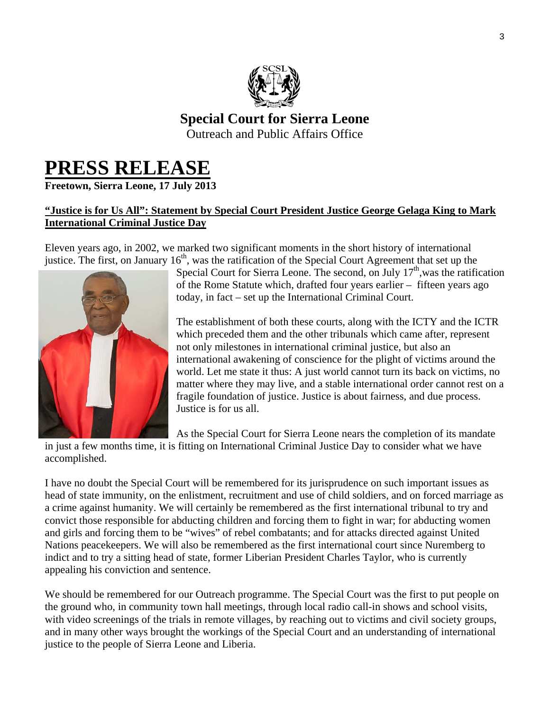

# **Special Court for Sierra Leone**  Outreach and Public Affairs Office

# **PRESS RELEASE Freetown, Sierra Leone, 17 July 2013**

#### **"Justice is for Us All": Statement by Special Court President Justice George Gelaga King to Mark International Criminal Justice Day**

Eleven years ago, in 2002, we marked two significant moments in the short history of international justice. The first, on January  $16<sup>th</sup>$ , was the ratification of the Special Court Agreement that set up the



Special Court for Sierra Leone. The second, on July  $17<sup>th</sup>$ , was the ratification of the Rome Statute which, drafted four years earlier – fifteen years ago today, in fact – set up the International Criminal Court.

The establishment of both these courts, along with the ICTY and the ICTR which preceded them and the other tribunals which came after, represent not only milestones in international criminal justice, but also an international awakening of conscience for the plight of victims around the world. Let me state it thus: A just world cannot turn its back on victims, no matter where they may live, and a stable international order cannot rest on a fragile foundation of justice. Justice is about fairness, and due process. Justice is for us all.

As the Special Court for Sierra Leone nears the completion of its mandate

in just a few months time, it is fitting on International Criminal Justice Day to consider what we have accomplished.

I have no doubt the Special Court will be remembered for its jurisprudence on such important issues as head of state immunity, on the enlistment, recruitment and use of child soldiers, and on forced marriage as a crime against humanity. We will certainly be remembered as the first international tribunal to try and convict those responsible for abducting children and forcing them to fight in war; for abducting women and girls and forcing them to be "wives" of rebel combatants; and for attacks directed against United Nations peacekeepers. We will also be remembered as the first international court since Nuremberg to indict and to try a sitting head of state, former Liberian President Charles Taylor, who is currently appealing his conviction and sentence.

We should be remembered for our Outreach programme. The Special Court was the first to put people on the ground who, in community town hall meetings, through local radio call-in shows and school visits, with video screenings of the trials in remote villages, by reaching out to victims and civil society groups, and in many other ways brought the workings of the Special Court and an understanding of international justice to the people of Sierra Leone and Liberia.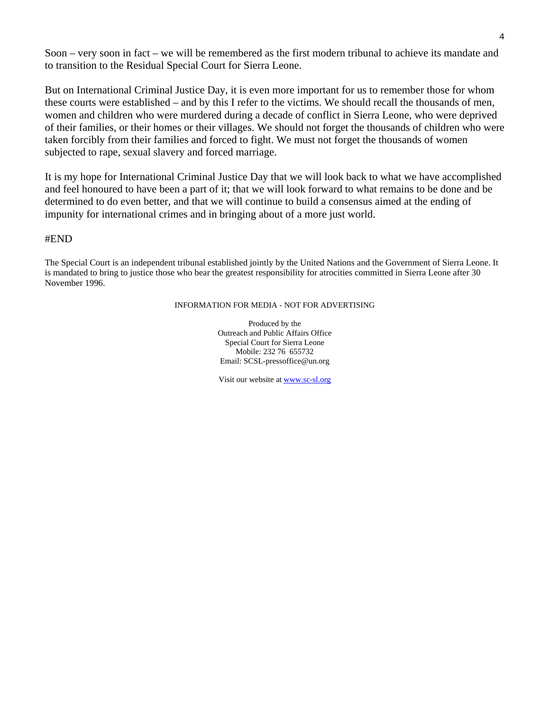Soon – very soon in fact – we will be remembered as the first modern tribunal to achieve its mandate and to transition to the Residual Special Court for Sierra Leone.

But on International Criminal Justice Day, it is even more important for us to remember those for whom these courts were established – and by this I refer to the victims. We should recall the thousands of men, women and children who were murdered during a decade of conflict in Sierra Leone, who were deprived of their families, or their homes or their villages. We should not forget the thousands of children who were taken forcibly from their families and forced to fight. We must not forget the thousands of women subjected to rape, sexual slavery and forced marriage.

It is my hope for International Criminal Justice Day that we will look back to what we have accomplished and feel honoured to have been a part of it; that we will look forward to what remains to be done and be determined to do even better, and that we will continue to build a consensus aimed at the ending of impunity for international crimes and in bringing about of a more just world.

#### #END

The Special Court is an independent tribunal established jointly by the United Nations and the Government of Sierra Leone. It is mandated to bring to justice those who bear the greatest responsibility for atrocities committed in Sierra Leone after 30 November 1996.

#### INFORMATION FOR MEDIA - NOT FOR ADVERTISING

Produced by the Outreach and Public Affairs Office Special Court for Sierra Leone Mobile: 232 76 655732 Email: SCSL-pressoffice@un.org

Visit our website at www.sc-sl.org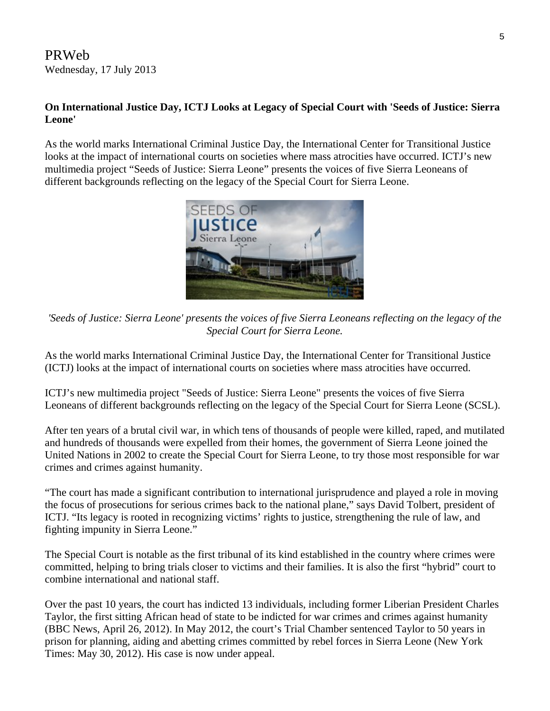PRWeb Wednesday, 17 July 2013

#### **On International Justice Day, ICTJ Looks at Legacy of Special Court with 'Seeds of Justice: Sierra Leone'**

As the world marks International Criminal Justice Day, the International Center for Transitional Justice looks at the impact of international courts on societies where mass atrocities have occurred. ICTJ's new multimedia project "Seeds of Justice: Sierra Leone" presents the voices of five Sierra Leoneans of different backgrounds reflecting on the legacy of the Special Court for Sierra Leone.



*'Seeds of Justice: Sierra Leone' presents the voices of five Sierra Leoneans reflecting on the legacy of the Special Court for Sierra Leone.* 

As the world marks International Criminal Justice Day, the International Center for Transitional Justice (ICTJ) looks at the impact of international courts on societies where mass atrocities have occurred.

ICTJ's new multimedia project "[Seeds of Justice: Sierra Leone](http://www.ictj.org/news/seeds-of-justice)" presents the voices of five Sierra Leoneans of different backgrounds reflecting on the legacy of the Special Court for Sierra Leone (SCSL).

After ten years of a brutal civil war, in which tens of thousands of people were killed, raped, and mutilated and hundreds of thousands were expelled from their homes, the government of Sierra Leone joined the United Nations in 2002 to create the [Special Court for Sierra Leone](http://www.sc-sl.org/), to try those most responsible for war crimes and crimes against humanity.

"The court has made a significant contribution to international jurisprudence and played a role in moving the focus of prosecutions for serious crimes back to the national plane," says David Tolbert, president of ICTJ. "Its legacy is rooted in recognizing victims' rights to justice, strengthening the rule of law, and fighting impunity in [Sierra Leone](http://ictj.org/our-work/regions-and-countries/sierra-leone)."

The Special Court is notable as the first tribunal of its kind established in the country where crimes were committed, helping to bring trials closer to victims and their families. It is also the first "hybrid" court to combine international and national staff.

Over the past 10 years, the court has indicted 13 individuals, including former Liberian President Charles Taylor, the first sitting African head of state to be indicted for war crimes and crimes against humanity (BBC News, April 26, 2012). In May 2012, the court's Trial Chamber sentenced Taylor to 50 years in prison for planning, aiding and abetting crimes committed by rebel forces in Sierra Leone (New York Times: May 30, 2012). His case is now under appeal.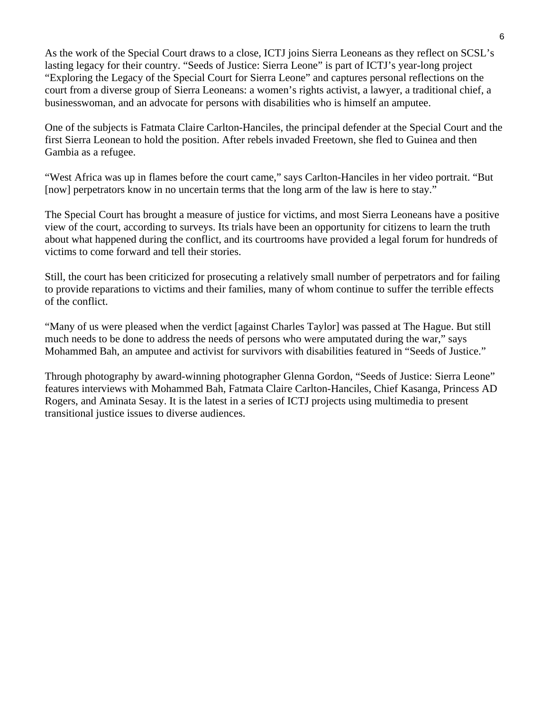As the work of the Special Court draws to a close, ICTJ joins Sierra Leoneans as they reflect on SCSL's lasting legacy for their country. "Seeds of Justice: Sierra Leone" is part of ICTJ's year-long project ["Exploring the Legacy of the Special Court for Sierra Leone](http://scsl-legacy.ictj.org/)" and captures personal reflections on the court from a diverse group of Sierra Leoneans: a women's rights activist, a lawyer, a traditional chief, a businesswoman, and an advocate for persons with disabilities who is himself an amputee.

One of the subjects is Fatmata Claire Carlton-Hanciles, the principal defender at the Special Court and the first Sierra Leonean to hold the position. After rebels invaded Freetown, she fled to Guinea and then Gambia as a refugee.

"West Africa was up in flames before the court came," says Carlton-Hanciles in her video portrait. "But [now] perpetrators know in no uncertain terms that the long arm of the law is here to stay."

The Special Court has brought a measure of justice for victims, and most Sierra Leoneans have a positive view of the court, according to [surveys.](http://www.npwj.org/content/Making-Justice-Count-Assessing-impact-and-legacy-Special-Court-Sierra-Leone-Sierra-Leone-and) Its trials have been an opportunity for citizens to learn the truth about what happened during the conflict, and its courtrooms have provided a legal forum for hundreds of victims to come forward and tell their stories.

Still, the court has been criticized for prosecuting a relatively small number of perpetrators and for failing to provide reparations to victims and their families, many of whom continue to suffer the terrible effects of the conflict.

"Many of us were pleased when the verdict [against Charles Taylor] was passed at The Hague. But still much needs to be done to address the needs of persons who were amputated during the war," says Mohammed Bah, an amputee and activist for survivors with disabilities featured in "Seeds of Justice."

Through photography by award-winning photographer Glenna Gordon, "Seeds of Justice: Sierra Leone" features interviews with Mohammed Bah, Fatmata Claire Carlton-Hanciles, Chief Kasanga, Princess AD Rogers, and Aminata Sesay. It is the latest in a series of ICTJ projects using multimedia to present transitional justice issues to diverse audiences.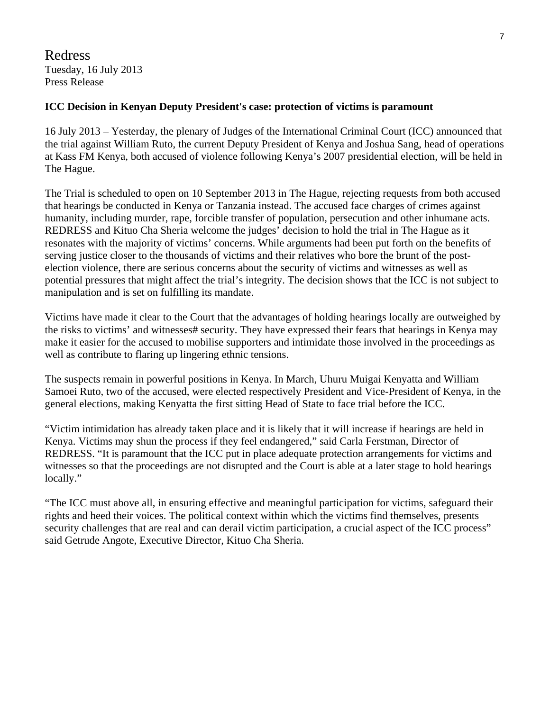#### Redress Tuesday, 16 July 2013 Press Release

#### **ICC Decision in Kenyan Deputy President's case: protection of victims is paramount**

16 July 2013 – Yesterday, the plenary of Judges of the International Criminal Court (ICC) announced that the trial against William Ruto, the current Deputy President of Kenya and Joshua Sang, head of operations at Kass FM Kenya, both accused of violence following Kenya's 2007 presidential election, will be held in The Hague.

The Trial is scheduled to open on 10 September 2013 in The Hague, rejecting requests from both accused that hearings be conducted in Kenya or Tanzania instead. The accused face charges of crimes against humanity, including murder, rape, forcible transfer of population, persecution and other inhumane acts. REDRESS and Kituo Cha Sheria welcome the judges' decision to hold the trial in The Hague as it resonates with the majority of victims' concerns. While arguments had been put forth on the benefits of serving justice closer to the thousands of victims and their relatives who bore the brunt of the postelection violence, there are serious concerns about the security of victims and witnesses as well as potential pressures that might affect the trial's integrity. The decision shows that the ICC is not subject to manipulation and is set on fulfilling its mandate.

Victims have made it clear to the Court that the advantages of holding hearings locally are outweighed by the risks to victims' and witnesses# security. They have expressed their fears that hearings in Kenya may make it easier for the accused to mobilise supporters and intimidate those involved in the proceedings as well as contribute to flaring up lingering ethnic tensions.

The suspects remain in powerful positions in Kenya. In March, Uhuru Muigai Kenyatta and William Samoei Ruto, two of the accused, were elected respectively President and Vice-President of Kenya, in the general elections, making Kenyatta the first sitting Head of State to face trial before the ICC.

"Victim intimidation has already taken place and it is likely that it will increase if hearings are held in Kenya. Victims may shun the process if they feel endangered," said Carla Ferstman, Director of REDRESS. "It is paramount that the ICC put in place adequate protection arrangements for victims and witnesses so that the proceedings are not disrupted and the Court is able at a later stage to hold hearings locally."

"The ICC must above all, in ensuring effective and meaningful participation for victims, safeguard their rights and heed their voices. The political context within which the victims find themselves, presents security challenges that are real and can derail victim participation, a crucial aspect of the ICC process" said Getrude Angote, Executive Director, Kituo Cha Sheria.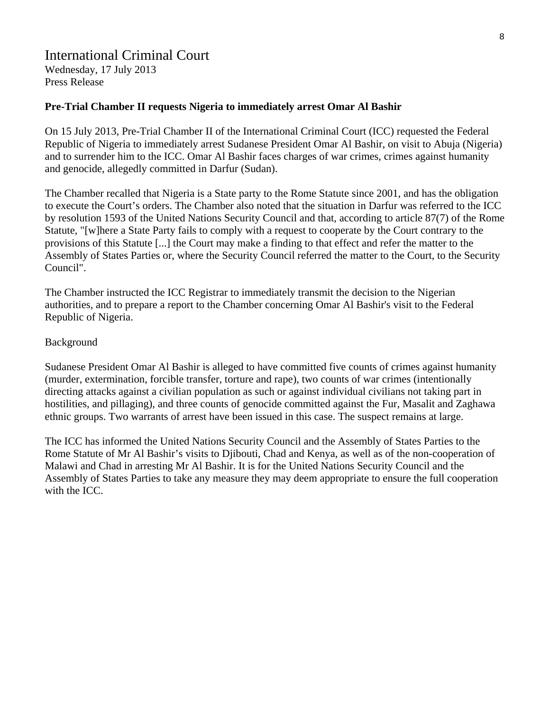## International Criminal Court

Wednesday, 17 July 2013 Press Release

#### **Pre-Trial Chamber II requests Nigeria to immediately arrest Omar Al Bashir**

On 15 July 2013, Pre-Trial Chamber II of the International Criminal Court (ICC) requested the Federal Republic of Nigeria to immediately arrest Sudanese President Omar Al Bashir, on visit to Abuja (Nigeria) and to surrender him to the ICC. Omar Al Bashir faces charges of war crimes, crimes against humanity and genocide, allegedly committed in Darfur (Sudan).

The Chamber recalled that Nigeria is a State party to the Rome Statute since 2001, and has the obligation to execute the Court's orders. The Chamber also noted that the situation in Darfur was referred to the ICC by resolution 1593 of the United Nations Security Council and that, according to article 87(7) of the Rome Statute, "[w]here a State Party fails to comply with a request to cooperate by the Court contrary to the provisions of this Statute [...] the Court may make a finding to that effect and refer the matter to the Assembly of States Parties or, where the Security Council referred the matter to the Court, to the Security Council".

The Chamber instructed the ICC Registrar to immediately transmit the decision to the Nigerian authorities, and to prepare a report to the Chamber concerning Omar Al Bashir's visit to the Federal Republic of Nigeria.

#### Background

Sudanese President Omar Al Bashir is alleged to have committed five counts of crimes against humanity (murder, extermination, forcible transfer, torture and rape), two counts of war crimes (intentionally directing attacks against a civilian population as such or against individual civilians not taking part in hostilities, and pillaging), and three counts of genocide committed against the Fur, Masalit and Zaghawa ethnic groups. Two warrants of arrest have been issued in this case. The suspect remains at large.

The ICC has informed the United Nations Security Council and the Assembly of States Parties to the Rome Statute of Mr Al Bashir's visits to Djibouti, Chad and Kenya, as well as of the non-cooperation of Malawi and Chad in arresting Mr Al Bashir. It is for the United Nations Security Council and the Assembly of States Parties to take any measure they may deem appropriate to ensure the full cooperation with the ICC.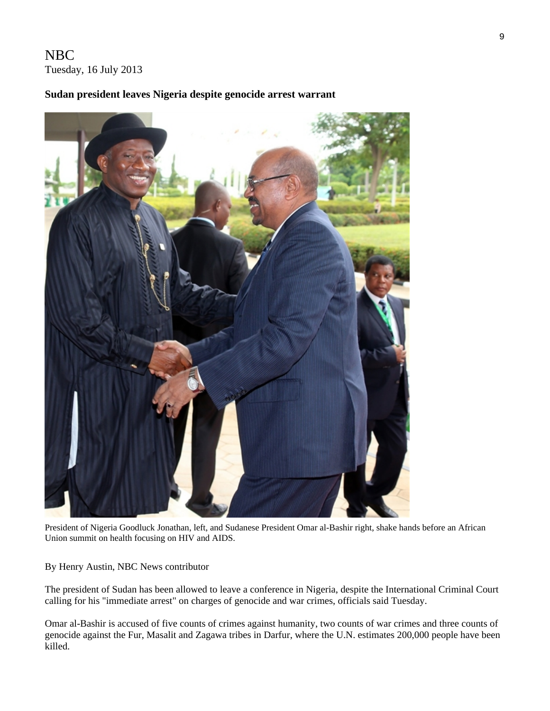# NBC Tuesday, 16 July 2013

#### **Sudan president leaves Nigeria despite genocide arrest warrant**



President of Nigeria Goodluck Jonathan, left, and Sudanese President Omar al-Bashir right, shake hands before an African Union summit on health focusing on HIV and AIDS.

By Henry Austin, NBC News contributor

The president of Sudan has been allowed to leave a conference in Nigeria, despite the International Criminal Court calling for his "immediate arrest" on charges of genocide and war crimes, officials said Tuesday.

Omar al-Bashir is accused of five counts of crimes against humanity, two counts of war crimes and three counts of genocide against the Fur, Masalit and Zagawa tribes in Darfur, where the U.N. estimates 200,000 people have been killed.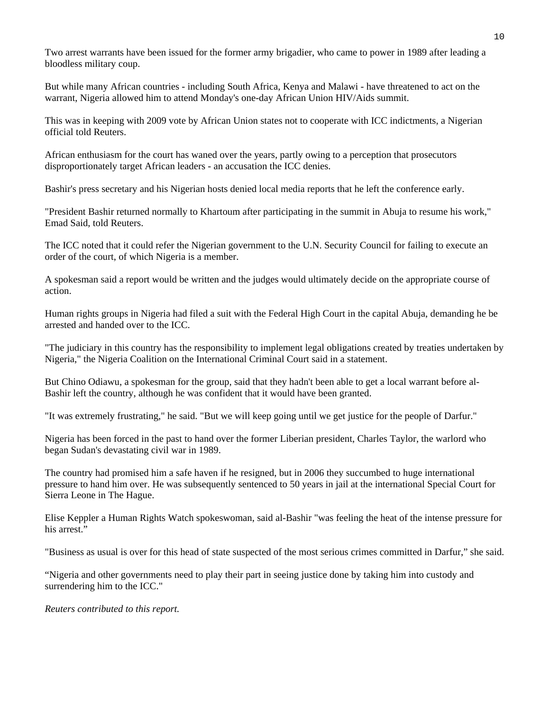Two arrest warrants have been issued for the former army brigadier, who came to power in 1989 after leading a bloodless military coup.

But while many African countries - including South Africa, Kenya and Malawi - have threatened to act on the warrant, Nigeria allowed him to attend Monday's one-day African Union HIV/Aids summit.

This was in keeping with 2009 vote by African Union states not to cooperate with ICC indictments, a Nigerian official told Reuters.

African enthusiasm for the court has waned over the years, partly owing to a perception that prosecutors disproportionately target African leaders - an accusation the ICC denies.

Bashir's press secretary and his Nigerian hosts denied local media reports that he left the conference early.

"President Bashir returned normally to Khartoum after participating in the summit in Abuja to resume his work," Emad Said, told Reuters.

The ICC noted that it could refer the Nigerian government to the U.N. Security Council for failing to execute an order of the court, of which Nigeria is a member.

A spokesman said a report would be written and the judges would ultimately decide on the appropriate course of action.

Human rights groups in Nigeria had filed a suit with the Federal High Court in the capital Abuja, demanding he be arrested and handed over to the ICC.

"The judiciary in this country has the responsibility to implement legal obligations created by treaties undertaken by Nigeria," the Nigeria Coalition on the International Criminal Court said in a statement.

But Chino Odiawu, a spokesman for the group, said that they hadn't been able to get a local warrant before al-Bashir left the country, although he was confident that it would have been granted.

"It was extremely frustrating," he said. "But we will keep going until we get justice for the people of Darfur."

Nigeria has been forced in the past to hand over the former Liberian president, Charles Taylor, the warlord who began Sudan's devastating civil war in 1989.

The country had promised him a safe haven if he resigned, but in 2006 they succumbed to huge international pressure to hand him over. He was subsequently sentenced to 50 years in jail at the international Special Court for Sierra Leone in The Hague.

Elise Keppler a Human Rights Watch spokeswoman, said al-Bashir "was feeling the heat of the intense pressure for his arrest."

"Business as usual is over for this head of state suspected of the most serious crimes committed in Darfur," she said.

"Nigeria and other governments need to play their part in seeing justice done by taking him into custody and surrendering him to the ICC."

*Reuters contributed to this report.*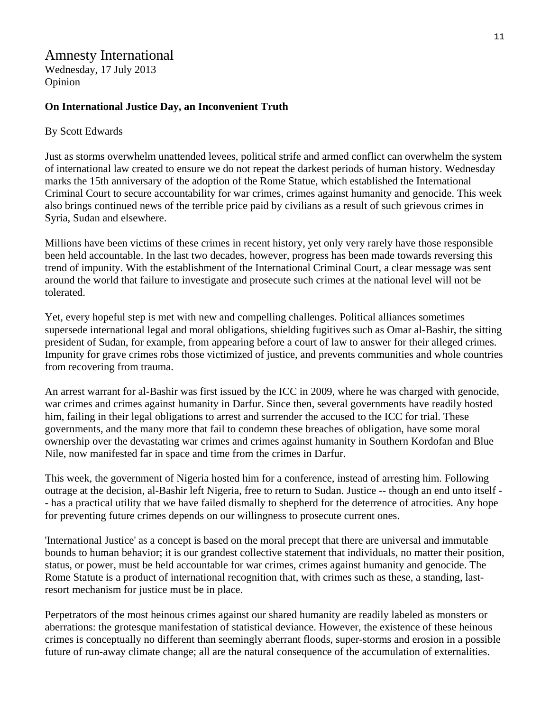# Amnesty International

Wednesday, 17 July 2013 Opinion

#### **On International Justice Day, an Inconvenient Truth**

#### By Scott Edwards

Just as storms overwhelm unattended levees, political strife and armed conflict can overwhelm the system of international law created to ensure we do not repeat the darkest periods of human history. Wednesday marks the 15th anniversary of the adoption of the Rome Statue, which established the International Criminal Court to secure accountability for war crimes, crimes against humanity and genocide. This week also brings continued news of the terrible price paid by civilians as a result of such grievous crimes in Syria, Sudan and elsewhere.

Millions have been victims of these crimes in recent history, yet only very rarely have those responsible been held accountable. In the last two decades, however, progress has been made towards reversing this trend of impunity. With the establishment of the International Criminal Court, a clear message was sent around the world that failure to investigate and prosecute such crimes at the national level will not be tolerated.

Yet, every hopeful step is met with new and compelling challenges. Political alliances sometimes supersede international legal and moral obligations, shielding fugitives such as Omar al-Bashir, the sitting president of Sudan, for example, from appearing before a court of law to answer for their alleged crimes. Impunity for grave crimes robs those victimized of justice, and prevents communities and whole countries from recovering from trauma.

An arrest warrant for al-Bashir was first issued by the ICC in 2009, where he was charged with genocide, war crimes and crimes against humanity in Darfur. Since then, several governments have readily hosted him, failing in their legal obligations to arrest and surrender the accused to the ICC for trial. These governments, and the many more that fail to condemn these breaches of obligation, have some moral ownership over the devastating war crimes and crimes against humanity in Southern Kordofan and Blue Nile, now manifested far in space and time from the crimes in Darfur.

This week, the government of Nigeria hosted him for a conference, instead of arresting him. Following outrage at the decision, al-Bashir left Nigeria, free to return to Sudan. Justice -- though an end unto itself - - has a practical utility that we have failed dismally to shepherd for the deterrence of atrocities. Any hope for preventing future crimes depends on our willingness to prosecute current ones.

'International Justice' as a concept is based on the moral precept that there are universal and immutable bounds to human behavior; it is our grandest collective statement that individuals, no matter their position, status, or power, must be held accountable for war crimes, crimes against humanity and genocide. The Rome Statute is a product of international recognition that, with crimes such as these, a standing, lastresort mechanism for justice must be in place.

Perpetrators of the most heinous crimes against our shared humanity are readily labeled as monsters or aberrations: the grotesque manifestation of statistical deviance. However, the existence of these heinous crimes is conceptually no different than seemingly aberrant floods, super-storms and erosion in a possible future of run-away climate change; all are the natural consequence of the accumulation of externalities.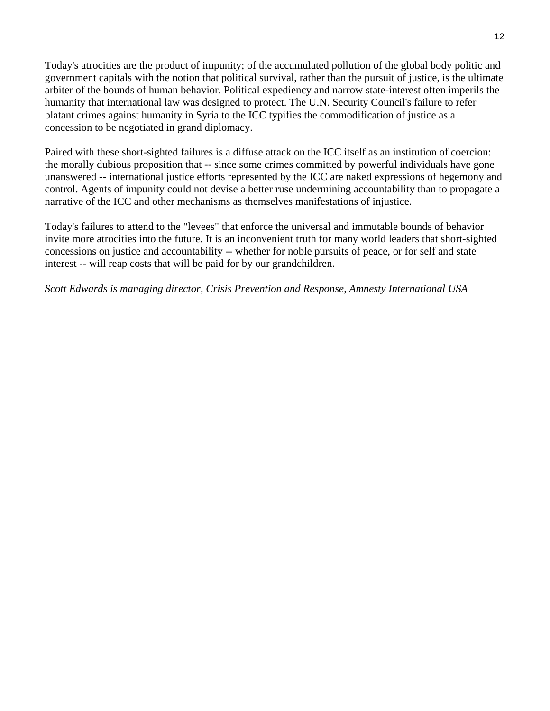Today's atrocities are the product of impunity; of the accumulated pollution of the global body politic and government capitals with the notion that political survival, rather than the pursuit of justice, is the ultimate arbiter of the bounds of human behavior. Political expediency and narrow state-interest often imperils the humanity that international law was designed to protect. The U.N. Security Council's failure to refer blatant crimes against humanity in Syria to the ICC typifies the commodification of justice as a concession to be negotiated in grand diplomacy.

Paired with these short-sighted failures is a diffuse attack on the ICC itself as an institution of coercion: the morally dubious proposition that -- since some crimes committed by powerful individuals have gone unanswered -- international justice efforts represented by the ICC are naked expressions of hegemony and control. Agents of impunity could not devise a better ruse undermining accountability than to propagate a narrative of the ICC and other mechanisms as themselves manifestations of injustice.

Today's failures to attend to the "levees" that enforce the universal and immutable bounds of behavior invite more atrocities into the future. It is an inconvenient truth for many world leaders that short-sighted concessions on justice and accountability -- whether for noble pursuits of peace, or for self and state interest -- will reap costs that will be paid for by our grandchildren.

*Scott Edwards is managing director, Crisis Prevention and Response, Amnesty International USA*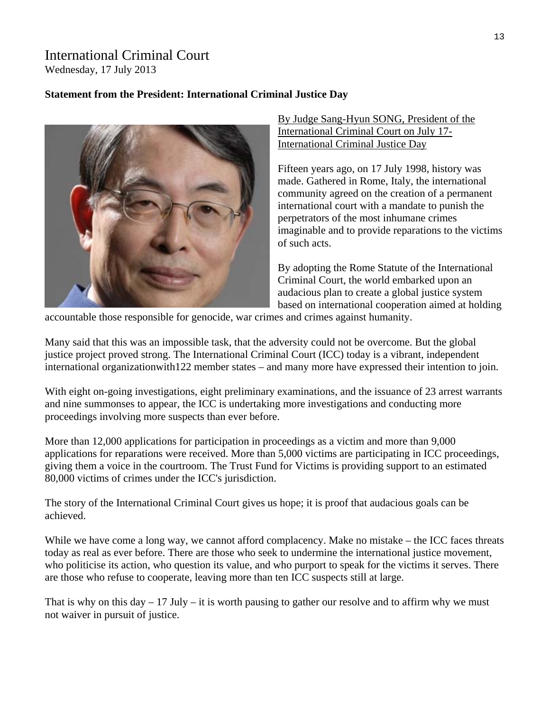# International Criminal Court

Wednesday, 17 July 2013

#### **Statement from the President: International Criminal Justice Day**



#### By Judge Sang-Hyun SONG, President of the International Criminal Court on July 17- International Criminal Justice Day

Fifteen years ago, on 17 July 1998, history was made. Gathered in Rome, Italy, the international community agreed on the creation of a permanent international court with a mandate to punish the perpetrators of the most inhumane crimes imaginable and to provide reparations to the victims of such acts.

By adopting the Rome Statute of the International Criminal Court, the world embarked upon an audacious plan to create a global justice system based on international cooperation aimed at holding

accountable those responsible for genocide, war crimes and crimes against humanity.

Many said that this was an impossible task, that the adversity could not be overcome. But the global justice project proved strong. The International Criminal Court (ICC) today is a vibrant, independent international organizationwith122 member states – and many more have expressed their intention to join.

With eight on-going investigations, eight preliminary examinations, and the issuance of 23 arrest warrants and nine summonses to appear, the ICC is undertaking more investigations and conducting more proceedings involving more suspects than ever before.

More than 12,000 applications for participation in proceedings as a victim and more than 9,000 applications for reparations were received. More than 5,000 victims are participating in ICC proceedings, giving them a voice in the courtroom. The Trust Fund for Victims is providing support to an estimated 80,000 victims of crimes under the ICC's jurisdiction.

The story of the International Criminal Court gives us hope; it is proof that audacious goals can be achieved.

While we have come a long way, we cannot afford complacency. Make no mistake – the ICC faces threats today as real as ever before. There are those who seek to undermine the international justice movement, who politicise its action, who question its value, and who purport to speak for the victims it serves. There are those who refuse to cooperate, leaving more than ten ICC suspects still at large.

That is why on this day  $-17$  July  $-$  it is worth pausing to gather our resolve and to affirm why we must not waiver in pursuit of justice.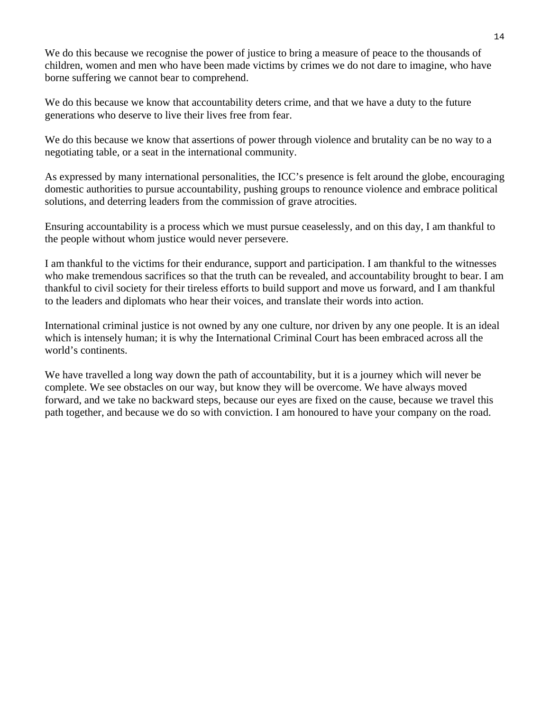We do this because we recognise the power of justice to bring a measure of peace to the thousands of children, women and men who have been made victims by crimes we do not dare to imagine, who have borne suffering we cannot bear to comprehend.

We do this because we know that accountability deters crime, and that we have a duty to the future generations who deserve to live their lives free from fear.

We do this because we know that assertions of power through violence and brutality can be no way to a negotiating table, or a seat in the international community.

As expressed by many international personalities, the ICC's presence is felt around the globe, encouraging domestic authorities to pursue accountability, pushing groups to renounce violence and embrace political solutions, and deterring leaders from the commission of grave atrocities.

Ensuring accountability is a process which we must pursue ceaselessly, and on this day, I am thankful to the people without whom justice would never persevere.

I am thankful to the victims for their endurance, support and participation. I am thankful to the witnesses who make tremendous sacrifices so that the truth can be revealed, and accountability brought to bear. I am thankful to civil society for their tireless efforts to build support and move us forward, and I am thankful to the leaders and diplomats who hear their voices, and translate their words into action.

International criminal justice is not owned by any one culture, nor driven by any one people. It is an ideal which is intensely human; it is why the International Criminal Court has been embraced across all the world's continents.

We have travelled a long way down the path of accountability, but it is a journey which will never be complete. We see obstacles on our way, but know they will be overcome. We have always moved forward, and we take no backward steps, because our eyes are fixed on the cause, because we travel this path together, and because we do so with conviction. I am honoured to have your company on the road.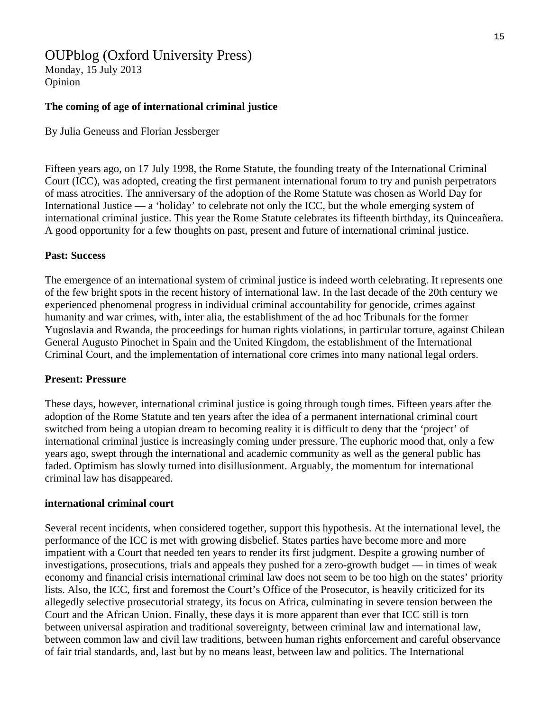# OUPblog (Oxford University Press)

Monday, 15 July 2013 Opinion

#### **The coming of age of international criminal justice**

By Julia Geneuss and Florian Jessberger

Fifteen years ago, on 17 July 1998, the Rome Statute, the founding treaty of the International Criminal Court (ICC), was adopted, creating the first permanent international forum to try and punish perpetrators of mass atrocities. The anniversary of the adoption of the Rome Statute was chosen as World Day for International Justice — a 'holiday' to celebrate not only the ICC, but the whole emerging system of international criminal justice. This year the Rome Statute celebrates its fifteenth birthday, its Quinceañera. A good opportunity for a few thoughts on past, present and future of international criminal justice.

#### **Past: Success**

The emergence of an international system of criminal justice is indeed worth celebrating. It represents one of the few bright spots in the recent history of international law. In the last decade of the 20th century we experienced phenomenal progress in individual criminal accountability for genocide, crimes against humanity and war crimes, with, inter alia, the establishment of the ad hoc Tribunals for the former Yugoslavia and Rwanda, the proceedings for human rights violations, in particular torture, against Chilean General Augusto Pinochet in Spain and the United Kingdom, the establishment of the International Criminal Court, and the implementation of international core crimes into many national legal orders.

#### **Present: Pressure**

These days, however, international criminal justice is going through tough times. Fifteen years after the adoption of the Rome Statute and ten years after the idea of a permanent international criminal court switched from being a utopian dream to becoming reality it is difficult to deny that the 'project' of international criminal justice is increasingly coming under pressure. The euphoric mood that, only a few years ago, swept through the international and academic community as well as the general public has faded. Optimism has slowly turned into disillusionment. Arguably, the momentum for international criminal law has disappeared.

#### **international criminal court**

Several recent incidents, when considered together, support this hypothesis. At the international level, the performance of the ICC is met with growing disbelief. States parties have become more and more impatient with a Court that needed ten years to render its first judgment. Despite a growing number of investigations, prosecutions, trials and appeals they pushed for a zero-growth budget — in times of weak economy and financial crisis international criminal law does not seem to be too high on the states' priority lists. Also, the ICC, first and foremost the Court's Office of the Prosecutor, is heavily criticized for its allegedly selective prosecutorial strategy, its focus on Africa, culminating in severe tension between the Court and the African Union. Finally, these days it is more apparent than ever that ICC still is torn between universal aspiration and traditional sovereignty, between criminal law and international law, between common law and civil law traditions, between human rights enforcement and careful observance of fair trial standards, and, last but by no means least, between law and politics. The International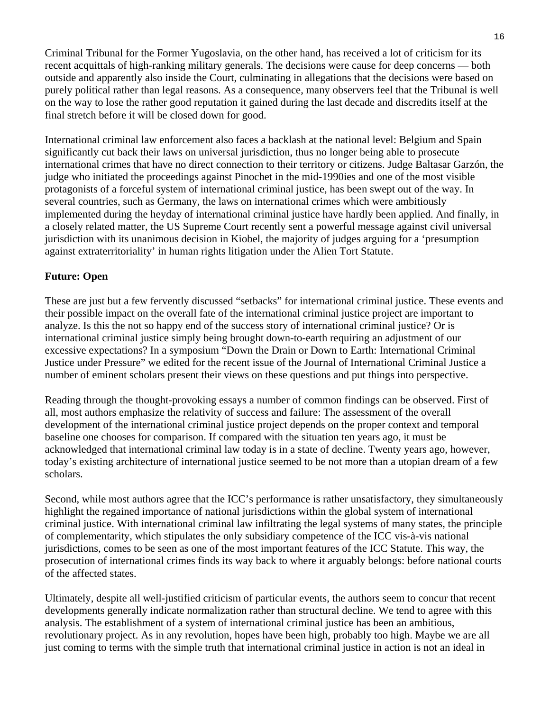Criminal Tribunal for the Former Yugoslavia, on the other hand, has received a lot of criticism for its recent acquittals of high-ranking military generals. The decisions were cause for deep concerns — both outside and apparently also inside the Court, culminating in allegations that the decisions were based on purely political rather than legal reasons. As a consequence, many observers feel that the Tribunal is well on the way to lose the rather good reputation it gained during the last decade and discredits itself at the final stretch before it will be closed down for good.

International criminal law enforcement also faces a backlash at the national level: Belgium and Spain significantly cut back their laws on universal jurisdiction, thus no longer being able to prosecute international crimes that have no direct connection to their territory or citizens. Judge Baltasar Garzón, the judge who initiated the proceedings against Pinochet in the mid-1990ies and one of the most visible protagonists of a forceful system of international criminal justice, has been swept out of the way. In several countries, such as Germany, the laws on international crimes which were ambitiously implemented during the heyday of international criminal justice have hardly been applied. And finally, in a closely related matter, the US Supreme Court recently sent a powerful message against civil universal jurisdiction with its unanimous decision in Kiobel, the majority of judges arguing for a 'presumption against extraterritoriality' in human rights litigation under the Alien Tort Statute.

#### **Future: Open**

These are just but a few fervently discussed "setbacks" for international criminal justice. These events and their possible impact on the overall fate of the international criminal justice project are important to analyze. Is this the not so happy end of the success story of international criminal justice? Or is international criminal justice simply being brought down-to-earth requiring an adjustment of our excessive expectations? In a symposium "Down the Drain or Down to Earth: International Criminal Justice under Pressure" we edited for the recent issue of the Journal of International Criminal Justice a number of eminent scholars present their views on these questions and put things into perspective.

Reading through the thought-provoking essays a number of common findings can be observed. First of all, most authors emphasize the relativity of success and failure: The assessment of the overall development of the international criminal justice project depends on the proper context and temporal baseline one chooses for comparison. If compared with the situation ten years ago, it must be acknowledged that international criminal law today is in a state of decline. Twenty years ago, however, today's existing architecture of international justice seemed to be not more than a utopian dream of a few scholars.

Second, while most authors agree that the ICC's performance is rather unsatisfactory, they simultaneously highlight the regained importance of national jurisdictions within the global system of international criminal justice. With international criminal law infiltrating the legal systems of many states, the principle of complementarity, which stipulates the only subsidiary competence of the ICC vis-à-vis national jurisdictions, comes to be seen as one of the most important features of the ICC Statute. This way, the prosecution of international crimes finds its way back to where it arguably belongs: before national courts of the affected states.

Ultimately, despite all well-justified criticism of particular events, the authors seem to concur that recent developments generally indicate normalization rather than structural decline. We tend to agree with this analysis. The establishment of a system of international criminal justice has been an ambitious, revolutionary project. As in any revolution, hopes have been high, probably too high. Maybe we are all just coming to terms with the simple truth that international criminal justice in action is not an ideal in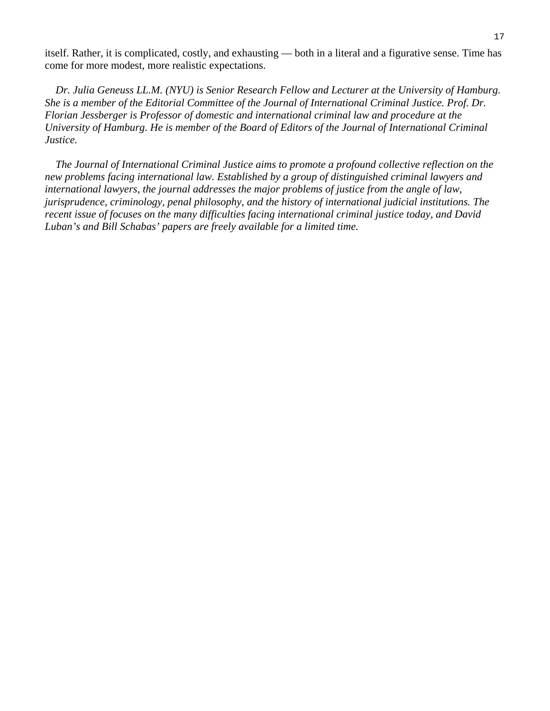itself. Rather, it is complicated, costly, and exhausting — both in a literal and a figurative sense. Time has come for more modest, more realistic expectations.

 *Dr. Julia Geneuss LL.M. (NYU) is Senior Research Fellow and Lecturer at the University of Hamburg. She is a member of the Editorial Committee of the Journal of International Criminal Justice. Prof. Dr. Florian Jessberger is Professor of domestic and international criminal law and procedure at the University of Hamburg. He is member of the Board of Editors of the Journal of International Criminal Justice.* 

 *The Journal of International Criminal Justice aims to promote a profound collective reflection on the new problems facing international law. Established by a group of distinguished criminal lawyers and international lawyers, the journal addresses the major problems of justice from the angle of law, jurisprudence, criminology, penal philosophy, and the history of international judicial institutions. The recent issue of focuses on the many difficulties facing international criminal justice today, and David Luban's and Bill Schabas' papers are freely available for a limited time.*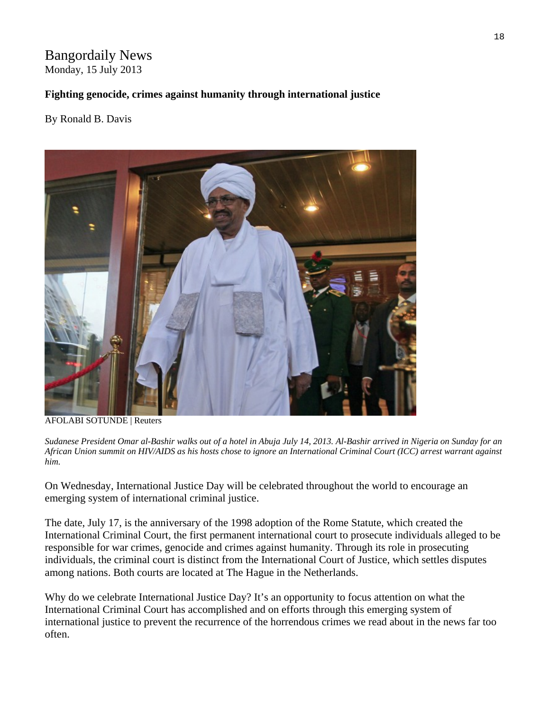# Bangordaily News Monday, 15 July 2013

### **Fighting genocide, crimes against humanity through international justice**

#### By Ronald B. Davis



AFOLABI SOTUNDE | Reuters

*Sudanese President Omar al-Bashir walks out of a hotel in Abuja July 14, 2013. Al-Bashir arrived in Nigeria on Sunday for an African Union summit on HIV/AIDS as his hosts chose to ignore an International Criminal Court (ICC) arrest warrant against him.* 

On Wednesday, International Justice Day will be celebrated throughout the world to encourage an emerging system of international criminal justice.

The date, July 17, is the anniversary of the 1998 adoption of the Rome Statute, which created the International Criminal Court, the first permanent international court to prosecute individuals alleged to be responsible for war crimes, genocide and crimes against humanity. Through its role in prosecuting individuals, the criminal court is distinct from the International Court of Justice, which settles disputes among nations. Both courts are located at The Hague in the Netherlands.

Why do we celebrate International Justice Day? It's an opportunity to focus attention on what the International Criminal Court has accomplished and on efforts through this emerging system of international justice to prevent the recurrence of the horrendous crimes we read about in the news far too often.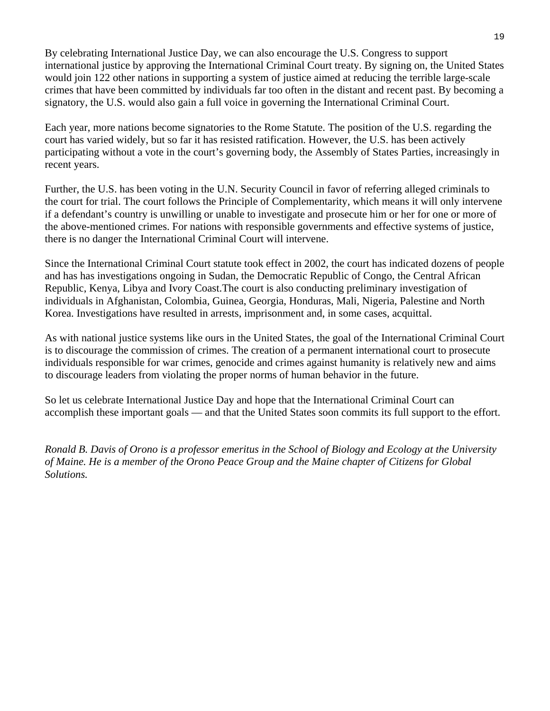By celebrating International Justice Day, we can also encourage the U.S. Congress to support international justice by approving the International Criminal Court treaty. By signing on, the United States would join 122 other nations in supporting a system of justice aimed at reducing the terrible large-scale crimes that have been committed by individuals far too often in the distant and recent past. By becoming a signatory, the U.S. would also gain a full voice in governing the International Criminal Court.

Each year, more nations become signatories to the Rome Statute. The position of the U.S. regarding the court has varied widely, but so far it has resisted ratification. However, the U.S. has been actively participating without a vote in the court's governing body, the Assembly of States Parties, increasingly in recent years.

Further, the U.S. has been voting in the U.N. Security Council in favor of referring alleged criminals to the court for trial. The court follows the Principle of Complementarity, which means it will only intervene if a defendant's country is unwilling or unable to investigate and prosecute him or her for one or more of the above-mentioned crimes. For nations with responsible governments and effective systems of justice, there is no danger the International Criminal Court will intervene.

Since the International Criminal Court statute took effect in 2002, the court has indicated dozens of people and has has investigations ongoing in Sudan, the Democratic Republic of Congo, the Central African Republic, Kenya, Libya and Ivory Coast.The court is also conducting preliminary investigation of individuals in Afghanistan, Colombia, Guinea, Georgia, Honduras, Mali, Nigeria, Palestine and North Korea. Investigations have resulted in arrests, imprisonment and, in some cases, acquittal.

As with national justice systems like ours in the United States, the goal of the International Criminal Court is to discourage the commission of crimes. The creation of a permanent international court to prosecute individuals responsible for war crimes, genocide and crimes against humanity is relatively new and aims to discourage leaders from violating the proper norms of human behavior in the future.

So let us celebrate International Justice Day and hope that the International Criminal Court can accomplish these important goals — and that the United States soon commits its full support to the effort.

*Ronald B. Davis of Orono is a professor emeritus in the School of Biology and Ecology at the University of Maine. He is a member of the Orono Peace Group and the Maine chapter of Citizens for Global Solutions.*